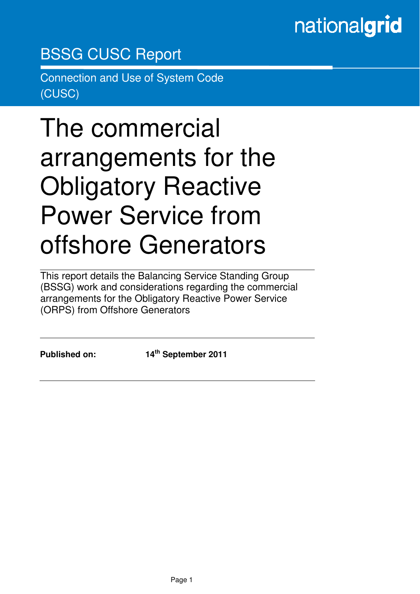# nationalgrid

# BSSG CUSC Report

Connection and Use of System Code (CUSC)

# The commercial arrangements for the Obligatory Reactive Power Service from offshore Generators

This report details the Balancing Service Standing Group (BSSG) work and considerations regarding the commercial arrangements for the Obligatory Reactive Power Service (ORPS) from Offshore Generators

in the contract of the contract of the contract of the contract of the contract of the contract of the contract of the contract of the contract of the contract of the contract of the contract of the contract of the contrac

**Published on: 14th September 2011**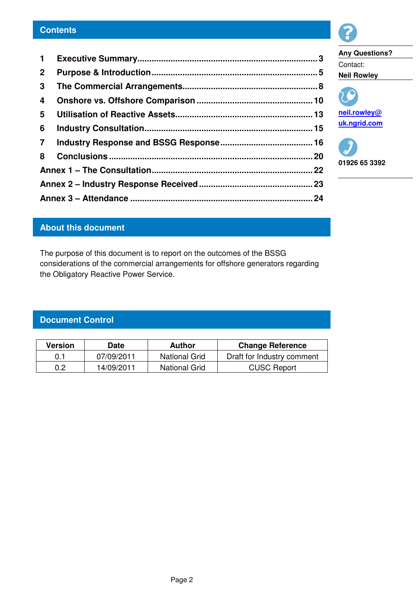#### **Contents**

| $\mathbf{1}$   |  |  |  |  |  |
|----------------|--|--|--|--|--|
| $\mathbf{2}$   |  |  |  |  |  |
| 3              |  |  |  |  |  |
| 4              |  |  |  |  |  |
| 5              |  |  |  |  |  |
| 6              |  |  |  |  |  |
| $\overline{7}$ |  |  |  |  |  |
| 8              |  |  |  |  |  |
|                |  |  |  |  |  |
|                |  |  |  |  |  |
|                |  |  |  |  |  |



**Any Questions?**  Contact: **Neil Rowley** 



**uk.ngrid.com** 

**01926 65 3392** 

### **About this document**

The purpose of this document is to report on the outcomes of the BSSG considerations of the commercial arrangements for offshore generators regarding the Obligatory Reactive Power Service.

## **Document Control**

| Version | <b>Date</b> | Author               | <b>Change Reference</b>    |  |  |  |
|---------|-------------|----------------------|----------------------------|--|--|--|
| 0.1     | 07/09/2011  | National Grid        | Draft for Industry comment |  |  |  |
| 0.2     | 14/09/2011  | <b>National Grid</b> | <b>CUSC Report</b>         |  |  |  |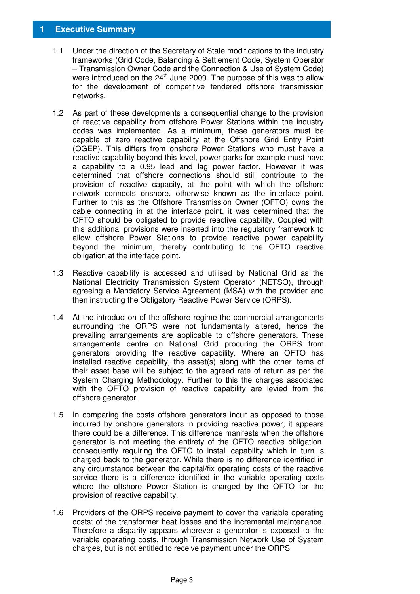#### **1 Executive Summary**

- 1.1 Under the direction of the Secretary of State modifications to the industry frameworks (Grid Code, Balancing & Settlement Code, System Operator – Transmission Owner Code and the Connection & Use of System Code) were introduced on the  $24<sup>th</sup>$  June 2009. The purpose of this was to allow for the development of competitive tendered offshore transmission networks.
- 1.2 As part of these developments a consequential change to the provision of reactive capability from offshore Power Stations within the industry codes was implemented. As a minimum, these generators must be capable of zero reactive capability at the Offshore Grid Entry Point (OGEP). This differs from onshore Power Stations who must have a reactive capability beyond this level, power parks for example must have a capability to a 0.95 lead and lag power factor. However it was determined that offshore connections should still contribute to the provision of reactive capacity, at the point with which the offshore network connects onshore, otherwise known as the interface point. Further to this as the Offshore Transmission Owner (OFTO) owns the cable connecting in at the interface point, it was determined that the OFTO should be obligated to provide reactive capability. Coupled with this additional provisions were inserted into the regulatory framework to allow offshore Power Stations to provide reactive power capability beyond the minimum, thereby contributing to the OFTO reactive obligation at the interface point.
- 1.3 Reactive capability is accessed and utilised by National Grid as the National Electricity Transmission System Operator (NETSO), through agreeing a Mandatory Service Agreement (MSA) with the provider and then instructing the Obligatory Reactive Power Service (ORPS).
- 1.4 At the introduction of the offshore regime the commercial arrangements surrounding the ORPS were not fundamentally altered, hence the prevailing arrangements are applicable to offshore generators. These arrangements centre on National Grid procuring the ORPS from generators providing the reactive capability. Where an OFTO has installed reactive capability, the asset(s) along with the other items of their asset base will be subject to the agreed rate of return as per the System Charging Methodology. Further to this the charges associated with the OFTO provision of reactive capability are levied from the offshore generator.
- 1.5 In comparing the costs offshore generators incur as opposed to those incurred by onshore generators in providing reactive power, it appears there could be a difference. This difference manifests when the offshore generator is not meeting the entirety of the OFTO reactive obligation, consequently requiring the OFTO to install capability which in turn is charged back to the generator. While there is no difference identified in any circumstance between the capital/fix operating costs of the reactive service there is a difference identified in the variable operating costs where the offshore Power Station is charged by the OFTO for the provision of reactive capability.
- 1.6 Providers of the ORPS receive payment to cover the variable operating costs; of the transformer heat losses and the incremental maintenance. Therefore a disparity appears wherever a generator is exposed to the variable operating costs, through Transmission Network Use of System charges, but is not entitled to receive payment under the ORPS.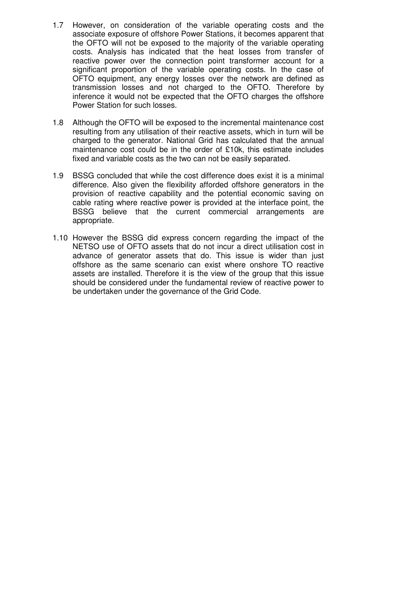- 1.7 However, on consideration of the variable operating costs and the associate exposure of offshore Power Stations, it becomes apparent that the OFTO will not be exposed to the majority of the variable operating costs. Analysis has indicated that the heat losses from transfer of reactive power over the connection point transformer account for a significant proportion of the variable operating costs. In the case of OFTO equipment, any energy losses over the network are defined as transmission losses and not charged to the OFTO. Therefore by inference it would not be expected that the OFTO charges the offshore Power Station for such losses.
- 1.8 Although the OFTO will be exposed to the incremental maintenance cost resulting from any utilisation of their reactive assets, which in turn will be charged to the generator. National Grid has calculated that the annual maintenance cost could be in the order of £10k, this estimate includes fixed and variable costs as the two can not be easily separated.
- 1.9 BSSG concluded that while the cost difference does exist it is a minimal difference. Also given the flexibility afforded offshore generators in the provision of reactive capability and the potential economic saving on cable rating where reactive power is provided at the interface point, the BSSG believe that the current commercial arrangements are appropriate.
- 1.10 However the BSSG did express concern regarding the impact of the NETSO use of OFTO assets that do not incur a direct utilisation cost in advance of generator assets that do. This issue is wider than just offshore as the same scenario can exist where onshore TO reactive assets are installed. Therefore it is the view of the group that this issue should be considered under the fundamental review of reactive power to be undertaken under the governance of the Grid Code.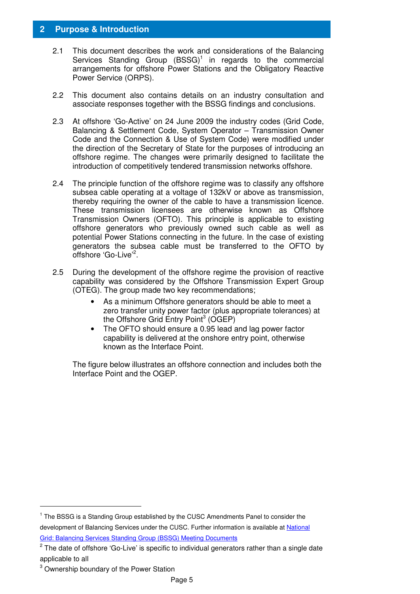#### **2 Purpose & Introduction**

- 2.1 This document describes the work and considerations of the Balancing Services Standing Group  $(BSSG)^1$  in regards to the commercial arrangements for offshore Power Stations and the Obligatory Reactive Power Service (ORPS).
- 2.2 This document also contains details on an industry consultation and associate responses together with the BSSG findings and conclusions.
- 2.3 At offshore 'Go-Active' on 24 June 2009 the industry codes (Grid Code, Balancing & Settlement Code, System Operator – Transmission Owner Code and the Connection & Use of System Code) were modified under the direction of the Secretary of State for the purposes of introducing an offshore regime. The changes were primarily designed to facilitate the introduction of competitively tendered transmission networks offshore.
- 2.4 The principle function of the offshore regime was to classify any offshore subsea cable operating at a voltage of 132kV or above as transmission, thereby requiring the owner of the cable to have a transmission licence. These transmission licensees are otherwise known as Offshore Transmission Owners (OFTO). This principle is applicable to existing offshore generators who previously owned such cable as well as potential Power Stations connecting in the future. In the case of existing generators the subsea cable must be transferred to the OFTO by offshore 'Go-Live'<sup>2</sup>.
- 2.5 During the development of the offshore regime the provision of reactive capability was considered by the Offshore Transmission Expert Group (OTEG). The group made two key recommendations;
	- As a minimum Offshore generators should be able to meet a zero transfer unity power factor (plus appropriate tolerances) at the Offshore Grid Entry Point<sup>3</sup> (OGEP)
	- The OFTO should ensure a 0.95 lead and lag power factor capability is delivered at the onshore entry point, otherwise known as the Interface Point.

The figure below illustrates an offshore connection and includes both the Interface Point and the OGEP.

<sup>&</sup>lt;sup>1</sup> The BSSG is a Standing Group established by the CUSC Amendments Panel to consider the development of Balancing Services under the CUSC. Further information is available at National Grid: Balancing Services Standing Group (BSSG) Meeting Documents

 $2$  The date of offshore 'Go-Live' is specific to individual generators rather than a single date applicable to all

<sup>&</sup>lt;sup>3</sup> Ownership boundary of the Power Station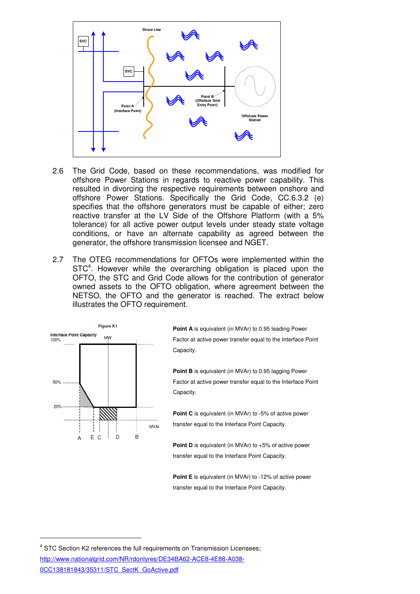

- 2.6 The Grid Code, based on these recommendations, was modified for offshore Power Stations in regards to reactive power capability. This resulted in divorcing the respective requirements between onshore and offshore Power Stations. Specifically the Grid Code, CC.6.3.2 (e) specifies that the offshore generators must be capable of either; zero reactive transfer at the LV Side of the Offshore Platform (with a 5% tolerance) for all active power output levels under steady state voltage conditions, or have an alternate capability as agreed between the generator, the offshore transmission licensee and NGET.
- 2.7 The OTEG recommendations for OFTOs were implemented within the STC<sup>4</sup>. However while the overarching obligation is placed upon the OFTO, the STC and Grid Code allows for the contribution of generator owned assets to the OFTO obligation, where agreement between the NETSO, the OFTO and the generator is reached. The extract below illustrates the OFTO requirement.



-

**Point A** is equivalent (in MVAr) to 0.95 leading Power Factor at active power transfer equal to the Interface Point Capacity.

**Point B** is equivalent (in MVAr) to 0.95 lagging Power Factor at active power transfer equal to the Interface Point Capacity.

**Point C** is equivalent (in MVAr) to -5% of active power transfer equal to the Interface Point Capacity.

**Point D** is equivalent (in MVAr) to +5% of active power transfer equal to the Interface Point Capacity.

**Point E** is equivalent (in MVAr) to -12% of active power transfer equal to the Interface Point Capacity.

<sup>&</sup>lt;sup>4</sup> STC Section K2 references the full requirements on Transmission Licensees; http://www.nationalgrid.com/NR/rdonlyres/DE34BA62-ACE8-4E88-A038- 0CC138181843/35311/STC\_SectK\_GoActive.pdf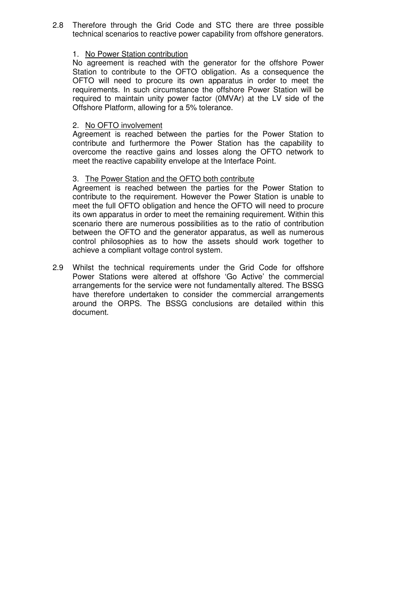2.8 Therefore through the Grid Code and STC there are three possible technical scenarios to reactive power capability from offshore generators.

#### 1. No Power Station contribution

No agreement is reached with the generator for the offshore Power Station to contribute to the OFTO obligation. As a consequence the OFTO will need to procure its own apparatus in order to meet the requirements. In such circumstance the offshore Power Station will be required to maintain unity power factor (0MVAr) at the LV side of the Offshore Platform, allowing for a 5% tolerance.

#### 2. No OFTO involvement

Agreement is reached between the parties for the Power Station to contribute and furthermore the Power Station has the capability to overcome the reactive gains and losses along the OFTO network to meet the reactive capability envelope at the Interface Point.

#### 3. The Power Station and the OFTO both contribute

Agreement is reached between the parties for the Power Station to contribute to the requirement. However the Power Station is unable to meet the full OFTO obligation and hence the OFTO will need to procure its own apparatus in order to meet the remaining requirement. Within this scenario there are numerous possibilities as to the ratio of contribution between the OFTO and the generator apparatus, as well as numerous control philosophies as to how the assets should work together to achieve a compliant voltage control system.

2.9 Whilst the technical requirements under the Grid Code for offshore Power Stations were altered at offshore 'Go Active' the commercial arrangements for the service were not fundamentally altered. The BSSG have therefore undertaken to consider the commercial arrangements around the ORPS. The BSSG conclusions are detailed within this document.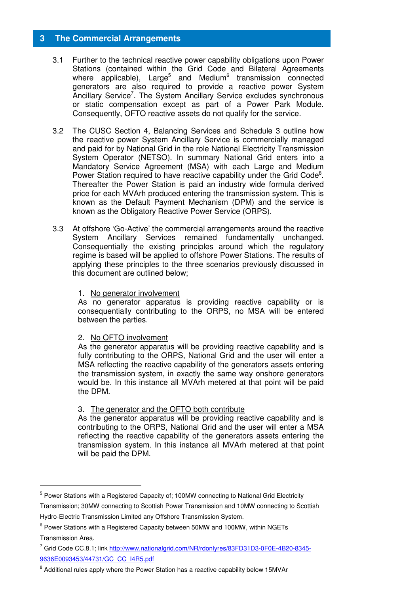#### **3 The Commercial Arrangements**

- 3.1 Further to the technical reactive power capability obligations upon Power Stations (contained within the Grid Code and Bilateral Agreements where applicable), Large<sup>5</sup> and Medium<sup>6</sup> transmission connected generators are also required to provide a reactive power System Ancillary Service<sup>7</sup>. The System Ancillary Service excludes synchronous or static compensation except as part of a Power Park Module. Consequently, OFTO reactive assets do not qualify for the service.
- 3.2 The CUSC Section 4, Balancing Services and Schedule 3 outline how the reactive power System Ancillary Service is commercially managed and paid for by National Grid in the role National Electricity Transmission System Operator (NETSO). In summary National Grid enters into a Mandatory Service Agreement (MSA) with each Large and Medium Power Station required to have reactive capability under the Grid Code<sup>8</sup>. Thereafter the Power Station is paid an industry wide formula derived price for each MVArh produced entering the transmission system. This is known as the Default Payment Mechanism (DPM) and the service is known as the Obligatory Reactive Power Service (ORPS).
- 3.3 At offshore 'Go-Active' the commercial arrangements around the reactive System Ancillary Services remained fundamentally unchanged. Consequentially the existing principles around which the regulatory regime is based will be applied to offshore Power Stations. The results of applying these principles to the three scenarios previously discussed in this document are outlined below;
	- 1. No generator involvement

As no generator apparatus is providing reactive capability or is consequentially contributing to the ORPS, no MSA will be entered between the parties.

#### 2. No OFTO involvement

As the generator apparatus will be providing reactive capability and is fully contributing to the ORPS, National Grid and the user will enter a MSA reflecting the reactive capability of the generators assets entering the transmission system, in exactly the same way onshore generators would be. In this instance all MVArh metered at that point will be paid the DPM.

3. The generator and the OFTO both contribute

As the generator apparatus will be providing reactive capability and is contributing to the ORPS, National Grid and the user will enter a MSA reflecting the reactive capability of the generators assets entering the transmission system. In this instance all MVArh metered at that point will be paid the DPM.

<sup>&</sup>lt;sup>5</sup> Power Stations with a Registered Capacity of; 100MW connecting to National Grid Electricity Transmission; 30MW connecting to Scottish Power Transmission and 10MW connecting to Scottish

Hydro-Electric Transmission Limited any Offshore Transmission System.

 $6$  Power Stations with a Registered Capacity between 50MW and 100MW, within NGETs Transmission Area.

<sup>&</sup>lt;sup>7</sup> Grid Code CC.8.1; link http://www.nationalgrid.com/NR/rdonlyres/83FD31D3-0F0E-4B20-8345-9636E0093453/44731/GC\_CC\_I4R5.pdf

<sup>&</sup>lt;sup>8</sup> Additional rules apply where the Power Station has a reactive capability below 15MVAr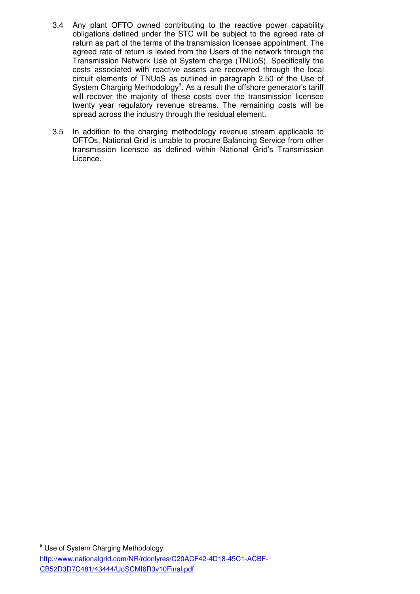- 3.4 Any plant OFTO owned contributing to the reactive power capability obligations defined under the STC will be subject to the agreed rate of return as part of the terms of the transmission licensee appointment. The agreed rate of return is levied from the Users of the network through the Transmission Network Use of System charge (TNUoS). Specifically the costs associated with reactive assets are recovered through the local circuit elements of TNUoS as outlined in paragraph 2.50 of the Use of System Charging Methodology<sup>9</sup>. As a result the offshore generator's tariff will recover the majority of these costs over the transmission licensee twenty year regulatory revenue streams. The remaining costs will be spread across the industry through the residual element.
- 3.5 In addition to the charging methodology revenue stream applicable to OFTOs, National Grid is unable to procure Balancing Service from other transmission licensee as defined within National Grid's Transmission Licence.

<sup>&</sup>lt;sup>9</sup> Use of System Charging Methodology

http://www.nationalgrid.com/NR/rdonlyres/C20ACF42-4D18-45C1-ACBF-CB52D3D7C481/43444/UoSCMI6R3v10Final.pdf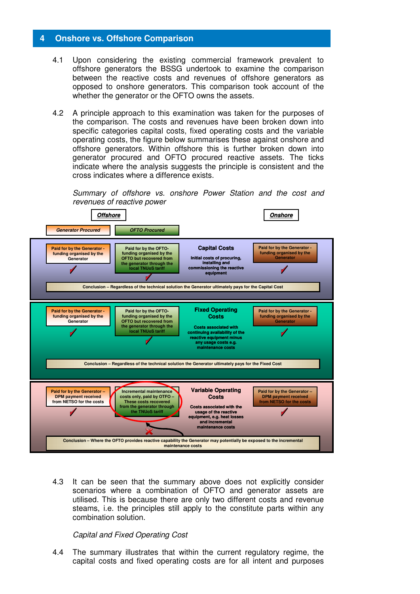#### **4 Onshore vs. Offshore Comparison**

- 4.1 Upon considering the existing commercial framework prevalent to offshore generators the BSSG undertook to examine the comparison between the reactive costs and revenues of offshore generators as opposed to onshore generators. This comparison took account of the whether the generator or the OFTO owns the assets.
- 4.2 A principle approach to this examination was taken for the purposes of the comparison. The costs and revenues have been broken down into specific categories capital costs, fixed operating costs and the variable operating costs, the figure below summarises these against onshore and offshore generators. Within offshore this is further broken down into generator procured and OFTO procured reactive assets. The ticks indicate where the analysis suggests the principle is consistent and the cross indicates where a difference exists.





4.3 It can be seen that the summary above does not explicitly consider scenarios where a combination of OFTO and generator assets are utilised. This is because there are only two different costs and revenue steams, i.e. the principles still apply to the constitute parts within any combination solution.

#### Capital and Fixed Operating Cost

4.4 The summary illustrates that within the current regulatory regime, the capital costs and fixed operating costs are for all intent and purposes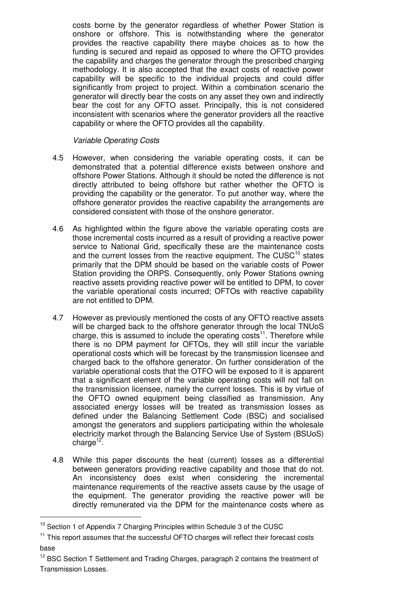costs borne by the generator regardless of whether Power Station is onshore or offshore. This is notwithstanding where the generator provides the reactive capability there maybe choices as to how the funding is secured and repaid as opposed to where the OFTO provides the capability and charges the generator through the prescribed charging methodology. It is also accepted that the exact costs of reactive power capability will be specific to the individual projects and could differ significantly from project to project. Within a combination scenario the generator will directly bear the costs on any asset they own and indirectly bear the cost for any OFTO asset. Principally, this is not considered inconsistent with scenarios where the generator providers all the reactive capability or where the OFTO provides all the capability.

#### Variable Operating Costs

- 4.5 However, when considering the variable operating costs, it can be demonstrated that a potential difference exists between onshore and offshore Power Stations. Although it should be noted the difference is not directly attributed to being offshore but rather whether the OFTO is providing the capability or the generator. To put another way, where the offshore generator provides the reactive capability the arrangements are considered consistent with those of the onshore generator.
- 4.6 As highlighted within the figure above the variable operating costs are those incremental costs incurred as a result of providing a reactive power service to National Grid, specifically these are the maintenance costs and the current losses from the reactive equipment. The CUSC $10$  states primarily that the DPM should be based on the variable costs of Power Station providing the ORPS. Consequently, only Power Stations owning reactive assets providing reactive power will be entitled to DPM, to cover the variable operational costs incurred; OFTOs with reactive capability are not entitled to DPM.
- 4.7 However as previously mentioned the costs of any OFTO reactive assets will be charged back to the offshore generator through the local TNUoS charge, this is assumed to include the operating  $cost<sup>11</sup>$ . Therefore while there is no DPM payment for OFTOs, they will still incur the variable operational costs which will be forecast by the transmission licensee and charged back to the offshore generator. On further consideration of the variable operational costs that the OTFO will be exposed to it is apparent that a significant element of the variable operating costs will not fall on the transmission licensee, namely the current losses. This is by virtue of the OFTO owned equipment being classified as transmission. Any associated energy losses will be treated as transmission losses as defined under the Balancing Settlement Code (BSC) and socialised amongst the generators and suppliers participating within the wholesale electricity market through the Balancing Service Use of System (BSUoS) charge<sup>12</sup>.
- 4.8 While this paper discounts the heat (current) losses as a differential between generators providing reactive capability and those that do not. An inconsistency does exist when considering the incremental maintenance requirements of the reactive assets cause by the usage of the equipment. The generator providing the reactive power will be directly remunerated via the DPM for the maintenance costs where as

<sup>&</sup>lt;sup>10</sup> Section 1 of Appendix 7 Charging Principles within Schedule 3 of the CUSC

 $11$  This report assumes that the successful OFTO charges will reflect their forecast costs base

<sup>&</sup>lt;sup>12</sup> BSC Section T Settlement and Trading Charges, paragraph 2 contains the treatment of Transmission Losses.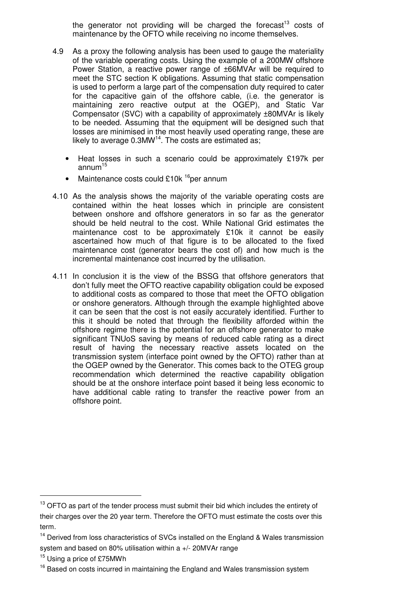the generator not providing will be charged the forecast<sup>13</sup> costs of maintenance by the OFTO while receiving no income themselves.

- 4.9 As a proxy the following analysis has been used to gauge the materiality of the variable operating costs. Using the example of a 200MW offshore Power Station, a reactive power range of ±66MVAr will be required to meet the STC section K obligations. Assuming that static compensation is used to perform a large part of the compensation duty required to cater for the capacitive gain of the offshore cable, (i.e. the generator is maintaining zero reactive output at the OGEP), and Static Var Compensator (SVC) with a capability of approximately ±80MVAr is likely to be needed. Assuming that the equipment will be designed such that losses are minimised in the most heavily used operating range, these are likely to average  $0.3$ MW<sup>14</sup>. The costs are estimated as;
	- Heat losses in such a scenario could be approximately £197k per annum $15$
	- Maintenance costs could £10 $k^{16}$ per annum
- 4.10 As the analysis shows the majority of the variable operating costs are contained within the heat losses which in principle are consistent between onshore and offshore generators in so far as the generator should be held neutral to the cost. While National Grid estimates the maintenance cost to be approximately £10k it cannot be easily ascertained how much of that figure is to be allocated to the fixed maintenance cost (generator bears the cost of) and how much is the incremental maintenance cost incurred by the utilisation.
- 4.11 In conclusion it is the view of the BSSG that offshore generators that don't fully meet the OFTO reactive capability obligation could be exposed to additional costs as compared to those that meet the OFTO obligation or onshore generators. Although through the example highlighted above it can be seen that the cost is not easily accurately identified. Further to this it should be noted that through the flexibility afforded within the offshore regime there is the potential for an offshore generator to make significant TNUoS saving by means of reduced cable rating as a direct result of having the necessary reactive assets located on the transmission system (interface point owned by the OFTO) rather than at the OGEP owned by the Generator. This comes back to the OTEG group recommendation which determined the reactive capability obligation should be at the onshore interface point based it being less economic to have additional cable rating to transfer the reactive power from an offshore point.

 $13$  OFTO as part of the tender process must submit their bid which includes the entirety of their charges over the 20 year term. Therefore the OFTO must estimate the costs over this term.

 $14$  Derived from loss characteristics of SVCs installed on the England & Wales transmission system and based on 80% utilisation within a +/- 20MVAr range

<sup>&</sup>lt;sup>15</sup> Using a price of £75MWh

<sup>&</sup>lt;sup>16</sup> Based on costs incurred in maintaining the England and Wales transmission system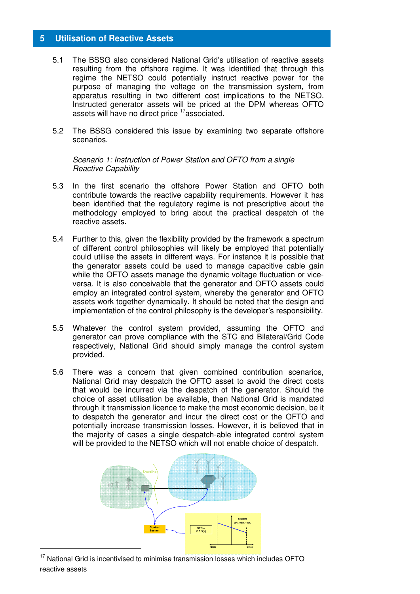#### **5 Utilisation of Reactive Assets**

- 5.1 The BSSG also considered National Grid's utilisation of reactive assets resulting from the offshore regime. It was identified that through this regime the NETSO could potentially instruct reactive power for the purpose of managing the voltage on the transmission system, from apparatus resulting in two different cost implications to the NETSO. Instructed generator assets will be priced at the DPM whereas OFTO assets will have no direct price <sup>17</sup>associated.
- 5.2 The BSSG considered this issue by examining two separate offshore scenarios.

Scenario 1: Instruction of Power Station and OFTO from a single Reactive Capability

- 5.3 In the first scenario the offshore Power Station and OFTO both contribute towards the reactive capability requirements. However it has been identified that the regulatory regime is not prescriptive about the methodology employed to bring about the practical despatch of the reactive assets.
- 5.4 Further to this, given the flexibility provided by the framework a spectrum of different control philosophies will likely be employed that potentially could utilise the assets in different ways. For instance it is possible that the generator assets could be used to manage capacitive cable gain while the OFTO assets manage the dynamic voltage fluctuation or viceversa. It is also conceivable that the generator and OFTO assets could employ an integrated control system, whereby the generator and OFTO assets work together dynamically. It should be noted that the design and implementation of the control philosophy is the developer's responsibility.
- 5.5 Whatever the control system provided, assuming the OFTO and generator can prove compliance with the STC and Bilateral/Grid Code respectively, National Grid should simply manage the control system provided.
- 5.6 There was a concern that given combined contribution scenarios, National Grid may despatch the OFTO asset to avoid the direct costs that would be incurred via the despatch of the generator. Should the choice of asset utilisation be available, then National Grid is mandated through it transmission licence to make the most economic decision, be it to despatch the generator and incur the direct cost or the OFTO and potentially increase transmission losses. However, it is believed that in the majority of cases a single despatch-able integrated control system will be provided to the NETSO which will not enable choice of despatch.



<sup>&</sup>lt;sup>17</sup> National Grid is incentivised to minimise transmission losses which includes OFTO reactive assets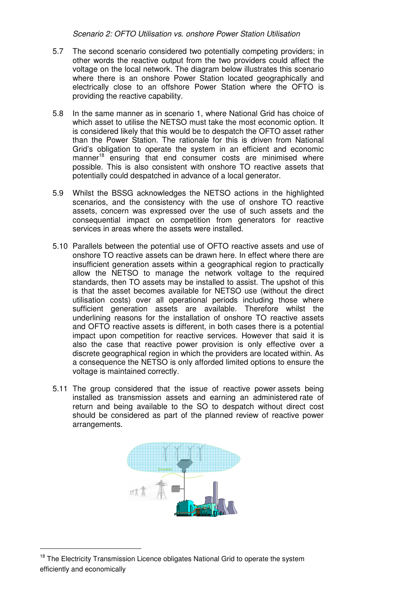Scenario 2: OFTO Utilisation vs. onshore Power Station Utilisation

- 5.7 The second scenario considered two potentially competing providers; in other words the reactive output from the two providers could affect the voltage on the local network. The diagram below illustrates this scenario where there is an onshore Power Station located geographically and electrically close to an offshore Power Station where the OFTO is providing the reactive capability.
- 5.8 In the same manner as in scenario 1, where National Grid has choice of which asset to utilise the NETSO must take the most economic option. It is considered likely that this would be to despatch the OFTO asset rather than the Power Station. The rationale for this is driven from National Grid's obligation to operate the system in an efficient and economic manner<sup>18</sup> ensuring that end consumer costs are minimised where possible. This is also consistent with onshore TO reactive assets that potentially could despatched in advance of a local generator.
- 5.9 Whilst the BSSG acknowledges the NETSO actions in the highlighted scenarios, and the consistency with the use of onshore TO reactive assets, concern was expressed over the use of such assets and the consequential impact on competition from generators for reactive services in areas where the assets were installed.
- 5.10 Parallels between the potential use of OFTO reactive assets and use of onshore TO reactive assets can be drawn here. In effect where there are insufficient generation assets within a geographical region to practically allow the NETSO to manage the network voltage to the required standards, then TO assets may be installed to assist. The upshot of this is that the asset becomes available for NETSO use (without the direct utilisation costs) over all operational periods including those where sufficient generation assets are available. Therefore whilst the underlining reasons for the installation of onshore TO reactive assets and OFTO reactive assets is different, in both cases there is a potential impact upon competition for reactive services. However that said it is also the case that reactive power provision is only effective over a discrete geographical region in which the providers are located within. As a consequence the NETSO is only afforded limited options to ensure the voltage is maintained correctly.
- 5.11 The group considered that the issue of reactive power assets being installed as transmission assets and earning an administered rate of return and being available to the SO to despatch without direct cost should be considered as part of the planned review of reactive power arrangements.



<sup>&</sup>lt;sup>18</sup> The Electricity Transmission Licence obligates National Grid to operate the system efficiently and economically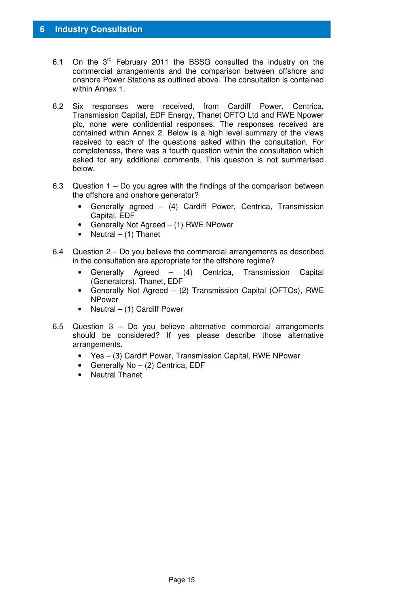- 6.1 On the  $3^{rd}$  February 2011 the BSSG consulted the industry on the commercial arrangements and the comparison between offshore and onshore Power Stations as outlined above. The consultation is contained within Annex 1.
- 6.2 Six responses were received, from Cardiff Power, Centrica, Transmission Capital, EDF Energy, Thanet OFTO Ltd and RWE Npower plc, none were confidential responses. The responses received are contained within Annex 2. Below is a high level summary of the views received to each of the questions asked within the consultation. For completeness, there was a fourth question within the consultation which asked for any additional comments. This question is not summarised below.
- 6.3 Question 1 Do you agree with the findings of the comparison between the offshore and onshore generator?
	- Generally agreed (4) Cardiff Power, Centrica, Transmission Capital, EDF
	- Generally Not Agreed (1) RWE NPower
	- Neutral  $-$  (1) Thanet
- 6.4 Question 2 Do you believe the commercial arrangements as described in the consultation are appropriate for the offshore regime?
	- Generally Agreed (4) Centrica, Transmission Capital (Generators), Thanet, EDF
	- Generally Not Agreed (2) Transmission Capital (OFTOs), RWE NPower
	- Neutral (1) Cardiff Power
- 6.5 Question 3 Do you believe alternative commercial arrangements should be considered? If yes please describe those alternative arrangements.
	- Yes (3) Cardiff Power, Transmission Capital, RWE NPower
	- Generally  $No (2)$  Centrica, EDF
	- Neutral Thanet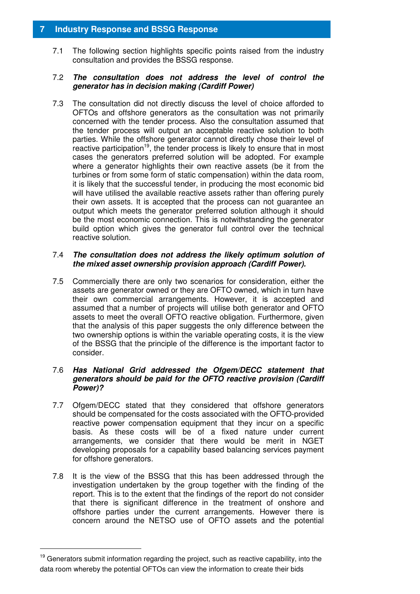#### **7 Industry Response and BSSG Response**

7.1 The following section highlights specific points raised from the industry consultation and provides the BSSG response.

#### 7.2 **The consultation does not address the level of control the generator has in decision making (Cardiff Power)**

7.3 The consultation did not directly discuss the level of choice afforded to OFTOs and offshore generators as the consultation was not primarily concerned with the tender process. Also the consultation assumed that the tender process will output an acceptable reactive solution to both parties. While the offshore generator cannot directly chose their level of reactive participation<sup>19</sup>, the tender process is likely to ensure that in most cases the generators preferred solution will be adopted. For example where a generator highlights their own reactive assets (be it from the turbines or from some form of static compensation) within the data room, it is likely that the successful tender, in producing the most economic bid will have utilised the available reactive assets rather than offering purely their own assets. It is accepted that the process can not guarantee an output which meets the generator preferred solution although it should be the most economic connection. This is notwithstanding the generator build option which gives the generator full control over the technical reactive solution.

#### 7.4 **The consultation does not address the likely optimum solution of the mixed asset ownership provision approach (Cardiff Power).**

7.5 Commercially there are only two scenarios for consideration, either the assets are generator owned or they are OFTO owned, which in turn have their own commercial arrangements. However, it is accepted and assumed that a number of projects will utilise both generator and OFTO assets to meet the overall OFTO reactive obligation. Furthermore, given that the analysis of this paper suggests the only difference between the two ownership options is within the variable operating costs, it is the view of the BSSG that the principle of the difference is the important factor to consider.

#### 7.6 **Has National Grid addressed the Ofgem/DECC statement that generators should be paid for the OFTO reactive provision (Cardiff Power)?**

- 7.7 Ofgem/DECC stated that they considered that offshore generators should be compensated for the costs associated with the OFTO-provided reactive power compensation equipment that they incur on a specific basis. As these costs will be of a fixed nature under current arrangements, we consider that there would be merit in NGET developing proposals for a capability based balancing services payment for offshore generators.
- 7.8 It is the view of the BSSG that this has been addressed through the investigation undertaken by the group together with the finding of the report. This is to the extent that the findings of the report do not consider that there is significant difference in the treatment of onshore and offshore parties under the current arrangements. However there is concern around the NETSO use of OFTO assets and the potential

<sup>&</sup>lt;sup>19</sup> Generators submit information regarding the project, such as reactive capability, into the data room whereby the potential OFTOs can view the information to create their bids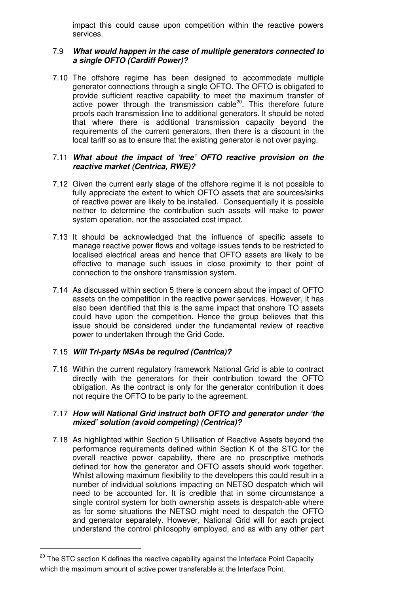impact this could cause upon competition within the reactive powers services.

#### 7.9 **What would happen in the case of multiple generators connected to a single OFTO (Cardiff Power)?**

7.10 The offshore regime has been designed to accommodate multiple generator connections through a single OFTO. The OFTO is obligated to provide sufficient reactive capability to meet the maximum transfer of  $\alpha$  active power through the transmission cable<sup>20</sup>. This therefore future proofs each transmission line to additional generators. It should be noted that where there is additional transmission capacity beyond the requirements of the current generators, then there is a discount in the local tariff so as to ensure that the existing generator is not over paying.

#### 7.11 **What about the impact of 'free' OFTO reactive provision on the reactive market (Centrica, RWE)?**

- 7.12 Given the current early stage of the offshore regime it is not possible to fully appreciate the extent to which OFTO assets that are sources/sinks of reactive power are likely to be installed. Consequentially it is possible neither to determine the contribution such assets will make to power system operation, nor the associated cost impact.
- 7.13 It should be acknowledged that the influence of specific assets to manage reactive power flows and voltage issues tends to be restricted to localised electrical areas and hence that OFTO assets are likely to be effective to manage such issues in close proximity to their point of connection to the onshore transmission system.
- 7.14 As discussed within section 5 there is concern about the impact of OFTO assets on the competition in the reactive power services. However, it has also been identified that this is the same impact that onshore TO assets could have upon the competition. Hence the group believes that this issue should be considered under the fundamental review of reactive power to undertaken through the Grid Code.

#### 7.15 **Will Tri-party MSAs be required (Centrica)?**

7.16 Within the current regulatory framework National Grid is able to contract directly with the generators for their contribution toward the OFTO obligation. As the contract is only for the generator contribution it does not require the OFTO to be party to the agreement.

#### 7.17 **How will National Grid instruct both OFTO and generator under 'the mixed' solution (avoid competing) (Centrica)?**

7.18 As highlighted within Section 5 Utilisation of Reactive Assets beyond the performance requirements defined within Section K of the STC for the overall reactive power capability, there are no prescriptive methods defined for how the generator and OFTO assets should work together. Whilst allowing maximum flexibility to the developers this could result in a number of individual solutions impacting on NETSO despatch which will need to be accounted for. It is credible that in some circumstance a single control system for both ownership assets is despatch-able where as for some situations the NETSO might need to despatch the OFTO and generator separately. However, National Grid will for each project understand the control philosophy employed, and as with any other part

<sup>&</sup>lt;sup>20</sup> The STC section K defines the reactive capability against the Interface Point Capacity which the maximum amount of active power transferable at the Interface Point.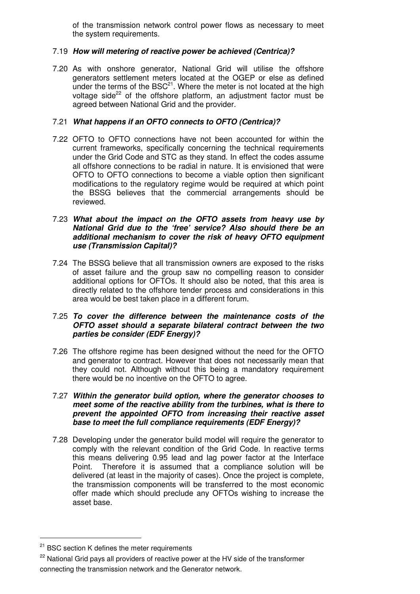of the transmission network control power flows as necessary to meet the system requirements.

#### 7.19 **How will metering of reactive power be achieved (Centrica)?**

7.20 As with onshore generator, National Grid will utilise the offshore generators settlement meters located at the OGEP or else as defined under the terms of the  $BSC<sup>21</sup>$ . Where the meter is not located at the high voltage side<sup>22</sup> of the offshore platform, an adjustment factor must be agreed between National Grid and the provider.

#### 7.21 **What happens if an OFTO connects to OFTO (Centrica)?**

7.22 OFTO to OFTO connections have not been accounted for within the current frameworks, specifically concerning the technical requirements under the Grid Code and STC as they stand. In effect the codes assume all offshore connections to be radial in nature. It is envisioned that were OFTO to OFTO connections to become a viable option then significant modifications to the regulatory regime would be required at which point the BSSG believes that the commercial arrangements should be reviewed.

#### 7.23 **What about the impact on the OFTO assets from heavy use by National Grid due to the 'free' service? Also should there be an additional mechanism to cover the risk of heavy OFTO equipment use (Transmission Capital)?**

7.24 The BSSG believe that all transmission owners are exposed to the risks of asset failure and the group saw no compelling reason to consider additional options for OFTOs. It should also be noted, that this area is directly related to the offshore tender process and considerations in this area would be best taken place in a different forum.

#### 7.25 **To cover the difference between the maintenance costs of the OFTO asset should a separate bilateral contract between the two parties be consider (EDF Energy)?**

7.26 The offshore regime has been designed without the need for the OFTO and generator to contract. However that does not necessarily mean that they could not. Although without this being a mandatory requirement there would be no incentive on the OFTO to agree.

#### 7.27 **Within the generator build option, where the generator chooses to meet some of the reactive ability from the turbines, what is there to prevent the appointed OFTO from increasing their reactive asset base to meet the full compliance requirements (EDF Energy)?**

7.28 Developing under the generator build model will require the generator to comply with the relevant condition of the Grid Code. In reactive terms this means delivering 0.95 lead and lag power factor at the Interface Point. Therefore it is assumed that a compliance solution will be delivered (at least in the majority of cases). Once the project is complete, the transmission components will be transferred to the most economic offer made which should preclude any OFTOs wishing to increase the asset base.

<sup>&</sup>lt;sup>21</sup> BSC section K defines the meter requirements

<sup>&</sup>lt;sup>22</sup> National Grid pays all providers of reactive power at the HV side of the transformer connecting the transmission network and the Generator network.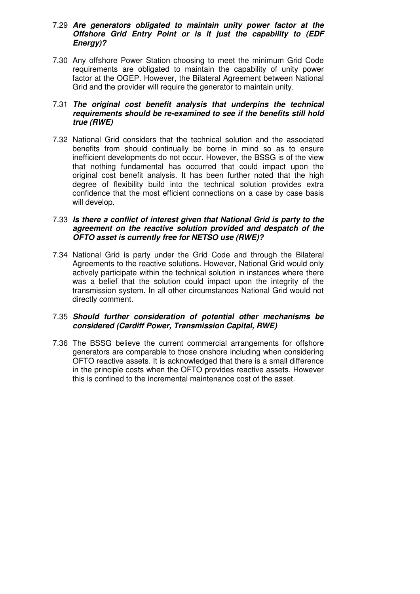#### 7.29 **Are generators obligated to maintain unity power factor at the Offshore Grid Entry Point or is it just the capability to (EDF Energy)?**

7.30 Any offshore Power Station choosing to meet the minimum Grid Code requirements are obligated to maintain the capability of unity power factor at the OGEP. However, the Bilateral Agreement between National Grid and the provider will require the generator to maintain unity.

#### 7.31 **The original cost benefit analysis that underpins the technical requirements should be re-examined to see if the benefits still hold true (RWE)**

7.32 National Grid considers that the technical solution and the associated benefits from should continually be borne in mind so as to ensure inefficient developments do not occur. However, the BSSG is of the view that nothing fundamental has occurred that could impact upon the original cost benefit analysis. It has been further noted that the high degree of flexibility build into the technical solution provides extra confidence that the most efficient connections on a case by case basis will develop.

#### 7.33 **Is there a conflict of interest given that National Grid is party to the agreement on the reactive solution provided and despatch of the OFTO asset is currently free for NETSO use (RWE)?**

7.34 National Grid is party under the Grid Code and through the Bilateral Agreements to the reactive solutions. However, National Grid would only actively participate within the technical solution in instances where there was a belief that the solution could impact upon the integrity of the transmission system. In all other circumstances National Grid would not directly comment.

#### 7.35 **Should further consideration of potential other mechanisms be considered (Cardiff Power, Transmission Capital, RWE)**

7.36 The BSSG believe the current commercial arrangements for offshore generators are comparable to those onshore including when considering OFTO reactive assets. It is acknowledged that there is a small difference in the principle costs when the OFTO provides reactive assets. However this is confined to the incremental maintenance cost of the asset.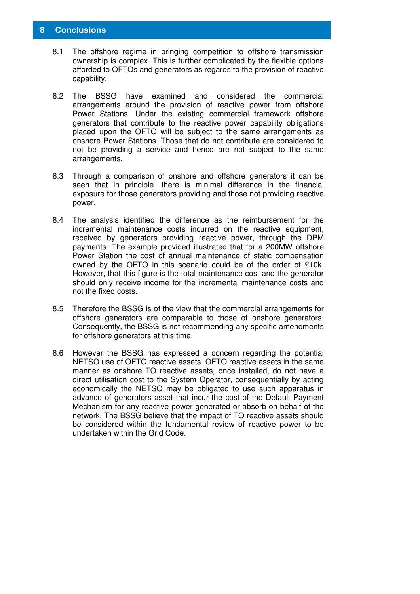#### **8 Conclusions**

- 8.1 The offshore regime in bringing competition to offshore transmission ownership is complex. This is further complicated by the flexible options afforded to OFTOs and generators as regards to the provision of reactive capability.
- 8.2 The BSSG have examined and considered the commercial arrangements around the provision of reactive power from offshore Power Stations. Under the existing commercial framework offshore generators that contribute to the reactive power capability obligations placed upon the OFTO will be subject to the same arrangements as onshore Power Stations. Those that do not contribute are considered to not be providing a service and hence are not subject to the same arrangements.
- 8.3 Through a comparison of onshore and offshore generators it can be seen that in principle, there is minimal difference in the financial exposure for those generators providing and those not providing reactive power.
- 8.4 The analysis identified the difference as the reimbursement for the incremental maintenance costs incurred on the reactive equipment, received by generators providing reactive power, through the DPM payments. The example provided illustrated that for a 200MW offshore Power Station the cost of annual maintenance of static compensation owned by the OFTO in this scenario could be of the order of £10k. However, that this figure is the total maintenance cost and the generator should only receive income for the incremental maintenance costs and not the fixed costs.
- 8.5 Therefore the BSSG is of the view that the commercial arrangements for offshore generators are comparable to those of onshore generators. Consequently, the BSSG is not recommending any specific amendments for offshore generators at this time.
- 8.6 However the BSSG has expressed a concern regarding the potential NETSO use of OFTO reactive assets. OFTO reactive assets in the same manner as onshore TO reactive assets, once installed, do not have a direct utilisation cost to the System Operator, consequentially by acting economically the NETSO may be obligated to use such apparatus in advance of generators asset that incur the cost of the Default Payment Mechanism for any reactive power generated or absorb on behalf of the network. The BSSG believe that the impact of TO reactive assets should be considered within the fundamental review of reactive power to be undertaken within the Grid Code.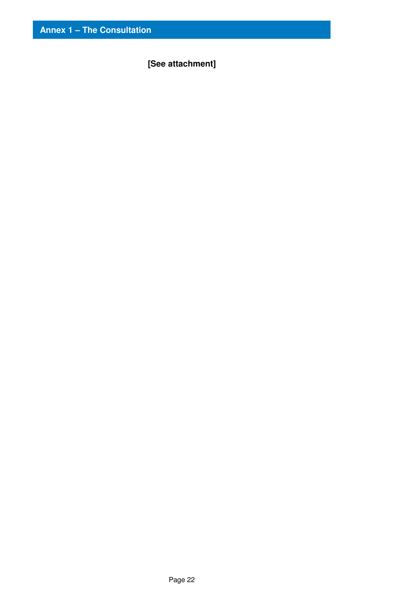**[See attachment]**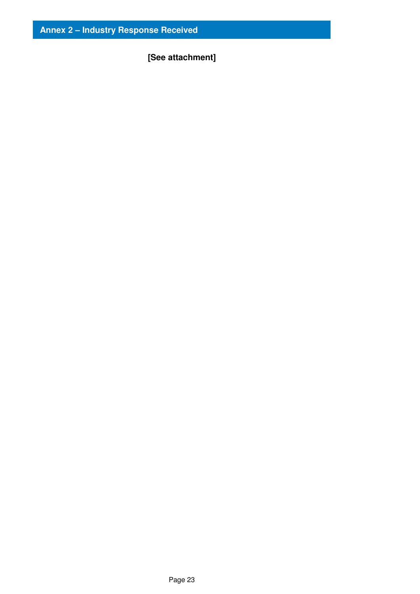# **[See attachment]**